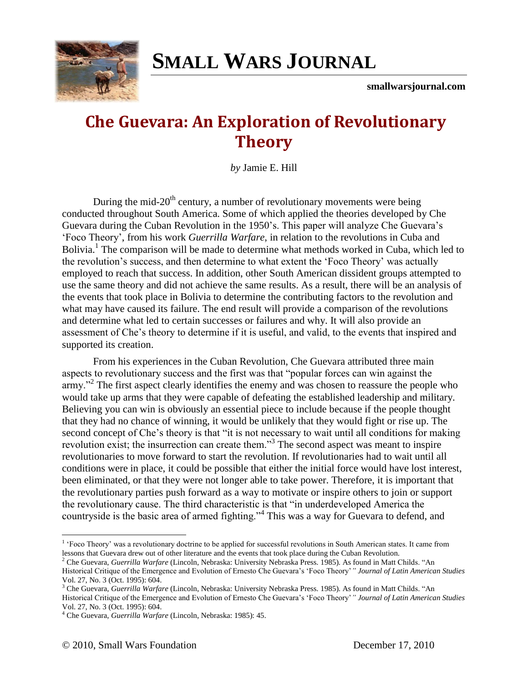## **SMALL WARS J[OURNAL](http://smallwarsjournal.com/)**

**smallwarsjournal.com**

## **Che Guevara: An Exploration of Revolutionary Theory**

*by* Jamie E. Hill

During the mid- $20<sup>th</sup>$  century, a number of revolutionary movements were being conducted throughout South America. Some of which applied the theories developed by Che Guevara during the Cuban Revolution in the 1950's. This paper will analyze Che Guevara's "Foco Theory", from his work *Guerrilla Warfare*, in relation to the revolutions in Cuba and Bolivia.<sup>1</sup> The comparison will be made to determine what methods worked in Cuba, which led to the revolution"s success, and then determine to what extent the "Foco Theory" was actually employed to reach that success. In addition, other South American dissident groups attempted to use the same theory and did not achieve the same results. As a result, there will be an analysis of the events that took place in Bolivia to determine the contributing factors to the revolution and what may have caused its failure. The end result will provide a comparison of the revolutions and determine what led to certain successes or failures and why. It will also provide an assessment of Che"s theory to determine if it is useful, and valid, to the events that inspired and supported its creation.

From his experiences in the Cuban Revolution, Che Guevara attributed three main aspects to revolutionary success and the first was that "popular forces can win against the army."<sup>2</sup> The first aspect clearly identifies the enemy and was chosen to reassure the people who would take up arms that they were capable of defeating the established leadership and military. Believing you can win is obviously an essential piece to include because if the people thought that they had no chance of winning, it would be unlikely that they would fight or rise up. The second concept of Che's theory is that "it is not necessary to wait until all conditions for making revolution exist; the insurrection can create them."<sup>3</sup> The second aspect was meant to inspire revolutionaries to move forward to start the revolution. If revolutionaries had to wait until all conditions were in place, it could be possible that either the initial force would have lost interest, been eliminated, or that they were not longer able to take power. Therefore, it is important that the revolutionary parties push forward as a way to motivate or inspire others to join or support the revolutionary cause. The third characteristic is that "in underdeveloped America the countryside is the basic area of armed fighting."<sup>4</sup> This was a way for Guevara to defend, and

<sup>&</sup>lt;sup>1</sup> 'Foco Theory' was a revolutionary doctrine to be applied for successful revolutions in South American states. It came from lessons that Guevara drew out of other literature and the events that took place during the Cuban Revolution.

<sup>2</sup> Che Guevara, *Guerrilla Warfare* (Lincoln, Nebraska: University Nebraska Press. 1985). As found in Matt Childs. "An Historical Critique of the Emergence and Evolution of Ernesto Che Guevara"s "Foco Theory"*" Journal of Latin American Studies* Vol. 27, No. 3 (Oct. 1995): 604.

<sup>3</sup> Che Guevara, *Guerrilla Warfare* (Lincoln, Nebraska: University Nebraska Press. 1985). As found in Matt Childs. "An Historical Critique of the Emergence and Evolution of Ernesto Che Guevara"s "Foco Theory"*" Journal of Latin American Studies* Vol. 27, No. 3 (Oct. 1995): 604.

<sup>4</sup> Che Guevara, *Guerrilla Warfare* (Lincoln, Nebraska: 1985): 45.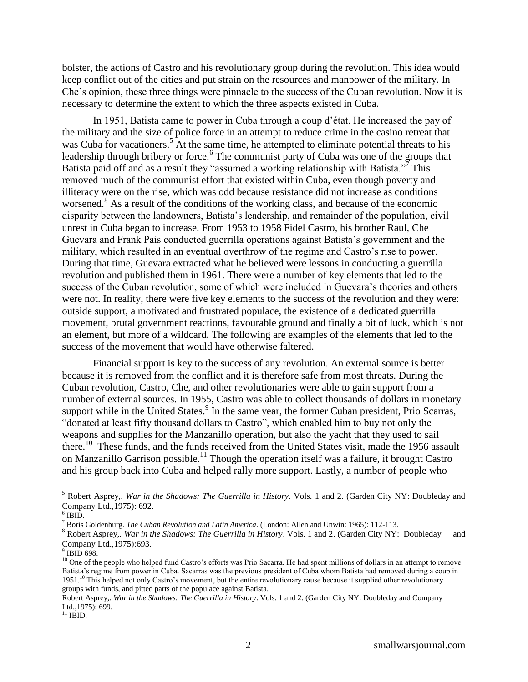bolster, the actions of Castro and his revolutionary group during the revolution. This idea would keep conflict out of the cities and put strain on the resources and manpower of the military. In Che"s opinion, these three things were pinnacle to the success of the Cuban revolution. Now it is necessary to determine the extent to which the three aspects existed in Cuba.

In 1951, Batista came to power in Cuba through a coup d"état. He increased the pay of the military and the size of police force in an attempt to reduce crime in the casino retreat that was Cuba for vacationers.<sup>5</sup> At the same time, he attempted to eliminate potential threats to his leadership through bribery or force.<sup>6</sup> The communist party of Cuba was one of the groups that Batista paid off and as a result they "assumed a working relationship with Batista."<sup>7</sup> This removed much of the communist effort that existed within Cuba, even though poverty and illiteracy were on the rise, which was odd because resistance did not increase as conditions worsened.<sup>8</sup> As a result of the conditions of the working class, and because of the economic disparity between the landowners, Batista"s leadership, and remainder of the population, civil unrest in Cuba began to increase. From 1953 to 1958 Fidel Castro, his brother Raul, Che Guevara and Frank Pais conducted guerrilla operations against Batista"s government and the military, which resulted in an eventual overthrow of the regime and Castro's rise to power. During that time, Guevara extracted what he believed were lessons in conducting a guerrilla revolution and published them in 1961. There were a number of key elements that led to the success of the Cuban revolution, some of which were included in Guevara"s theories and others were not. In reality, there were five key elements to the success of the revolution and they were: outside support, a motivated and frustrated populace, the existence of a dedicated guerrilla movement, brutal government reactions, favourable ground and finally a bit of luck, which is not an element, but more of a wildcard. The following are examples of the elements that led to the success of the movement that would have otherwise faltered.

Financial support is key to the success of any revolution. An external source is better because it is removed from the conflict and it is therefore safe from most threats. During the Cuban revolution, Castro, Che, and other revolutionaries were able to gain support from a number of external sources. In 1955, Castro was able to collect thousands of dollars in monetary support while in the United States.<sup>9</sup> In the same year, the former Cuban president, Prio Scarras, "donated at least fifty thousand dollars to Castro", which enabled him to buy not only the weapons and supplies for the Manzanillo operation, but also the yacht that they used to sail there.<sup>10</sup> These funds, and the funds received from the United States visit, made the 1956 assault on Manzanillo Garrison possible.<sup>11</sup> Though the operation itself was a failure, it brought Castro and his group back into Cuba and helped rally more support. Lastly, a number of people who

<sup>5</sup> Robert Asprey,. *War in the Shadows: The Guerrilla in History*. Vols. 1 and 2. (Garden City NY: Doubleday and Company Ltd.,1975): 692.

 $6$  IBID.

<sup>7</sup> Boris Goldenburg. *The Cuban Revolution and Latin America*. (London: Allen and Unwin: 1965): 112-113.

<sup>8</sup> Robert Asprey,. *War in the Shadows: The Guerrilla in History*. Vols. 1 and 2. (Garden City NY: Doubleday and Company Ltd.,1975):693.

<sup>9</sup> IBID 698.

<sup>&</sup>lt;sup>10</sup> One of the people who helped fund Castro's efforts was Prio Sacarra. He had spent millions of dollars in an attempt to remove Batista"s regime from power in Cuba. Sacarras was the previous president of Cuba whom Batista had removed during a coup in 1951.<sup>10</sup> This helped not only Castro's movement, but the entire revolutionary cause because it supplied other revolutionary groups with funds, and pitted parts of the populace against Batista.

Robert Asprey,. *War in the Shadows: The Guerrilla in History*. Vols. 1 and 2. (Garden City NY: Doubleday and Company Ltd.,1975): 699.

 $^{11}$  IBID.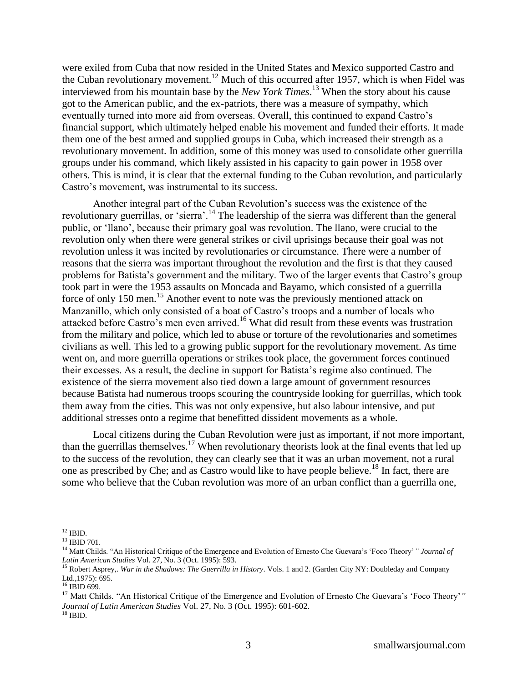were exiled from Cuba that now resided in the United States and Mexico supported Castro and the Cuban revolutionary movement.<sup>12</sup> Much of this occurred after 1957, which is when Fidel was interviewed from his mountain base by the *New York Times*. <sup>13</sup> When the story about his cause got to the American public, and the ex-patriots, there was a measure of sympathy, which eventually turned into more aid from overseas. Overall, this continued to expand Castro's financial support, which ultimately helped enable his movement and funded their efforts. It made them one of the best armed and supplied groups in Cuba, which increased their strength as a revolutionary movement. In addition, some of this money was used to consolidate other guerrilla groups under his command, which likely assisted in his capacity to gain power in 1958 over others. This is mind, it is clear that the external funding to the Cuban revolution, and particularly Castro"s movement, was instrumental to its success.

Another integral part of the Cuban Revolution"s success was the existence of the revolutionary guerrillas, or 'sierra'.<sup>14</sup> The leadership of the sierra was different than the general public, or "llano", because their primary goal was revolution. The llano, were crucial to the revolution only when there were general strikes or civil uprisings because their goal was not revolution unless it was incited by revolutionaries or circumstance. There were a number of reasons that the sierra was important throughout the revolution and the first is that they caused problems for Batista"s government and the military. Two of the larger events that Castro"s group took part in were the 1953 assaults on Moncada and Bayamo, which consisted of a guerrilla force of only 150 men.<sup>15</sup> Another event to note was the previously mentioned attack on Manzanillo, which only consisted of a boat of Castro's troops and a number of locals who attacked before Castro's men even arrived.<sup>16</sup> What did result from these events was frustration from the military and police, which led to abuse or torture of the revolutionaries and sometimes civilians as well. This led to a growing public support for the revolutionary movement. As time went on, and more guerrilla operations or strikes took place, the government forces continued their excesses. As a result, the decline in support for Batista"s regime also continued. The existence of the sierra movement also tied down a large amount of government resources because Batista had numerous troops scouring the countryside looking for guerrillas, which took them away from the cities. This was not only expensive, but also labour intensive, and put additional stresses onto a regime that benefitted dissident movements as a whole.

Local citizens during the Cuban Revolution were just as important, if not more important, than the guerrillas themselves.<sup>17</sup> When revolutionary theorists look at the final events that led up to the success of the revolution, they can clearly see that it was an urban movement, not a rural one as prescribed by Che; and as Castro would like to have people believe.<sup>18</sup> In fact, there are some who believe that the Cuban revolution was more of an urban conflict than a guerrilla one,

 $^{12}$  IBID.

<sup>13</sup> IBID 701.

<sup>14</sup> Matt Childs. "An Historical Critique of the Emergence and Evolution of Ernesto Che Guevara"s "Foco Theory"*" Journal of Latin American Studies* Vol. 27, No. 3 (Oct. 1995): 593.

<sup>15</sup> Robert Asprey,. *War in the Shadows: The Guerrilla in History*. Vols. 1 and 2. (Garden City NY: Doubleday and Company Ltd., 1975): 695.

 $^{16}$  IBID 699.

<sup>17</sup> Matt Childs. "An Historical Critique of the Emergence and Evolution of Ernesto Che Guevara"s "Foco Theory"*" Journal of Latin American Studies* Vol. 27, No. 3 (Oct. 1995): 601-602.  $^{18}$  IBID.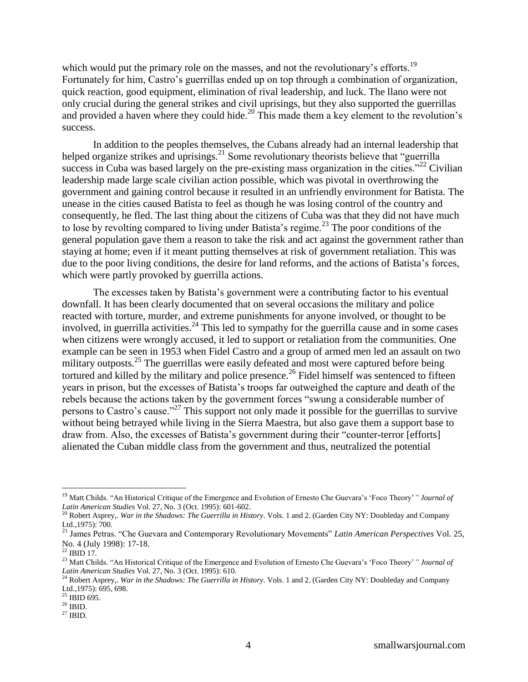which would put the primary role on the masses, and not the revolutionary's efforts.<sup>19</sup> Fortunately for him, Castro's guerrillas ended up on top through a combination of organization, quick reaction, good equipment, elimination of rival leadership, and luck. The llano were not only crucial during the general strikes and civil uprisings, but they also supported the guerrillas and provided a haven where they could hide.<sup>20</sup> This made them a key element to the revolution's success.

In addition to the peoples themselves, the Cubans already had an internal leadership that helped organize strikes and uprisings.<sup>21</sup> Some revolutionary theorists believe that "guerrilla" success in Cuba was based largely on the pre-existing mass organization in the cities.<sup> $22$ </sup> Civilian leadership made large scale civilian action possible, which was pivotal in overthrowing the government and gaining control because it resulted in an unfriendly environment for Batista. The unease in the cities caused Batista to feel as though he was losing control of the country and consequently, he fled. The last thing about the citizens of Cuba was that they did not have much to lose by revolting compared to living under Batista's regime.<sup>23</sup> The poor conditions of the general population gave them a reason to take the risk and act against the government rather than staying at home; even if it meant putting themselves at risk of government retaliation. This was due to the poor living conditions, the desire for land reforms, and the actions of Batista"s forces, which were partly provoked by guerrilla actions.

The excesses taken by Batista"s government were a contributing factor to his eventual downfall. It has been clearly documented that on several occasions the military and police reacted with torture, murder, and extreme punishments for anyone involved, or thought to be involved, in guerrilla activities.<sup>24</sup> This led to sympathy for the guerrilla cause and in some cases when citizens were wrongly accused, it led to support or retaliation from the communities. One example can be seen in 1953 when Fidel Castro and a group of armed men led an assault on two military outposts.<sup>25</sup> The guerrillas were easily defeated and most were captured before being tortured and killed by the military and police presence.<sup>26</sup> Fidel himself was sentenced to fifteen years in prison, but the excesses of Batista"s troops far outweighed the capture and death of the rebels because the actions taken by the government forces "swung a considerable number of persons to Castro's cause."<sup>27</sup> This support not only made it possible for the guerrillas to survive without being betrayed while living in the Sierra Maestra, but also gave them a support base to draw from. Also, the excesses of Batista"s government during their "counter-terror [efforts] alienated the Cuban middle class from the government and thus, neutralized the potential

<sup>&</sup>lt;sup>19</sup> Matt Childs. "An Historical Critique of the Emergence and Evolution of Ernesto Che Guevara's 'Foco Theory' " *Journal of Latin American Studies* Vol. 27, No. 3 (Oct. 1995): 601-602.

<sup>20</sup> Robert Asprey,. *War in the Shadows: The Guerrilla in History*. Vols. 1 and 2. (Garden City NY: Doubleday and Company Ltd., 1975): 700.

<sup>21</sup> James Petras. "Che Guevara and Contemporary Revolutionary Movements" *Latin American Perspectives* Vol. 25, No. 4 (July 1998): 17-18.

 $^{22}$  IBID 17.

<sup>23</sup> Matt Childs. "An Historical Critique of the Emergence and Evolution of Ernesto Che Guevara"s "Foco Theory"*" Journal of Latin American Studies* Vol. 27, No. 3 (Oct. 1995): 610.

<sup>24</sup> Robert Asprey,. *War in the Shadows: The Guerrilla in History*. Vols. 1 and 2. (Garden City NY: Doubleday and Company Ltd.,1975): 695, 698.

 $25$  IBID 695.

 $^{26}$  IBID.

 $^{27}$  IBID.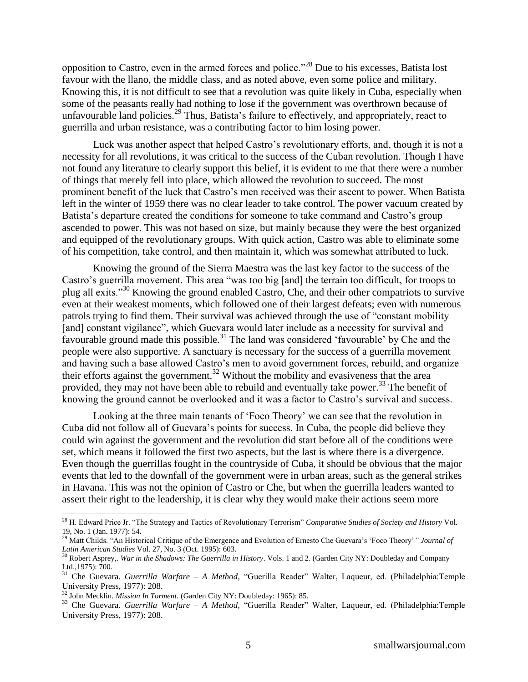opposition to Castro, even in the armed forces and police."<sup>28</sup> Due to his excesses, Batista lost favour with the llano, the middle class, and as noted above, even some police and military. Knowing this, it is not difficult to see that a revolution was quite likely in Cuba, especially when some of the peasants really had nothing to lose if the government was overthrown because of unfavourable land policies.<sup>29</sup> Thus, Batista's failure to effectively, and appropriately, react to guerrilla and urban resistance, was a contributing factor to him losing power.

Luck was another aspect that helped Castro"s revolutionary efforts, and, though it is not a necessity for all revolutions, it was critical to the success of the Cuban revolution. Though I have not found any literature to clearly support this belief, it is evident to me that there were a number of things that merely fell into place, which allowed the revolution to succeed. The most prominent benefit of the luck that Castro's men received was their ascent to power. When Batista left in the winter of 1959 there was no clear leader to take control. The power vacuum created by Batista's departure created the conditions for someone to take command and Castro's group ascended to power. This was not based on size, but mainly because they were the best organized and equipped of the revolutionary groups. With quick action, Castro was able to eliminate some of his competition, take control, and then maintain it, which was somewhat attributed to luck.

Knowing the ground of the Sierra Maestra was the last key factor to the success of the Castro"s guerrilla movement. This area "was too big [and] the terrain too difficult, for troops to plug all exits."<sup>30</sup> Knowing the ground enabled Castro, Che, and their other compatriots to survive even at their weakest moments, which followed one of their largest defeats; even with numerous patrols trying to find them. Their survival was achieved through the use of "constant mobility [and] constant vigilance", which Guevara would later include as a necessity for survival and favourable ground made this possible.<sup>31</sup> The land was considered 'favourable' by Che and the people were also supportive. A sanctuary is necessary for the success of a guerrilla movement and having such a base allowed Castro's men to avoid government forces, rebuild, and organize their efforts against the government.<sup>32</sup> Without the mobility and evasiveness that the area provided, they may not have been able to rebuild and eventually take power.<sup>33</sup> The benefit of knowing the ground cannot be overlooked and it was a factor to Castro"s survival and success.

Looking at the three main tenants of "Foco Theory" we can see that the revolution in Cuba did not follow all of Guevara"s points for success. In Cuba, the people did believe they could win against the government and the revolution did start before all of the conditions were set, which means it followed the first two aspects, but the last is where there is a divergence. Even though the guerrillas fought in the countryside of Cuba, it should be obvious that the major events that led to the downfall of the government were in urban areas, such as the general strikes in Havana. This was not the opinion of Castro or Che, but when the guerrilla leaders wanted to assert their right to the leadership, it is clear why they would make their actions seem more

<sup>28</sup> H. Edward Price Jr. "The Strategy and Tactics of Revolutionary Terrorism" *Comparative Studies of Society and History* Vol. 19, No. 1 (Jan. 1977): 54.

<sup>&</sup>lt;sup>29</sup> Matt Childs. "An Historical Critique of the Emergence and Evolution of Ernesto Che Guevara's 'Foco Theory' " *Journal of Latin American Studies* Vol. 27, No. 3 (Oct. 1995): 603.

<sup>30</sup> Robert Asprey,. *War in the Shadows: The Guerrilla in History*. Vols. 1 and 2. (Garden City NY: Doubleday and Company Ltd.,1975): 700.

<sup>31</sup> Che Guevara. *Guerrilla Warfare – A Method,* "Guerilla Reader" Walter, Laqueur, ed. (Philadelphia:Temple University Press, 1977): 208.

<sup>&</sup>lt;sup>32</sup> John Mecklin. *Mission In Torment.* (Garden City NY: Doubleday: 1965): 85.

<sup>33</sup> Che Guevara. *Guerrilla Warfare – A Method,* "Guerilla Reader" Walter, Laqueur, ed. (Philadelphia:Temple University Press, 1977): 208.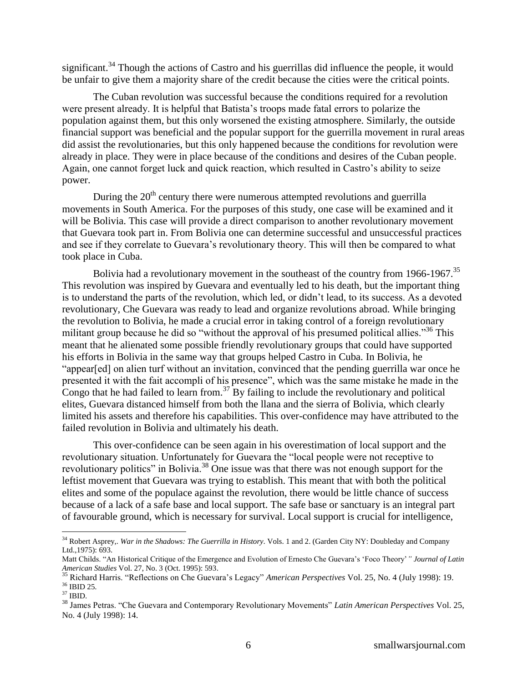significant.<sup>34</sup> Though the actions of Castro and his guerrillas did influence the people, it would be unfair to give them a majority share of the credit because the cities were the critical points.

The Cuban revolution was successful because the conditions required for a revolution were present already. It is helpful that Batista"s troops made fatal errors to polarize the population against them, but this only worsened the existing atmosphere. Similarly, the outside financial support was beneficial and the popular support for the guerrilla movement in rural areas did assist the revolutionaries, but this only happened because the conditions for revolution were already in place. They were in place because of the conditions and desires of the Cuban people. Again, one cannot forget luck and quick reaction, which resulted in Castro's ability to seize power.

During the  $20<sup>th</sup>$  century there were numerous attempted revolutions and guerrilla movements in South America. For the purposes of this study, one case will be examined and it will be Bolivia. This case will provide a direct comparison to another revolutionary movement that Guevara took part in. From Bolivia one can determine successful and unsuccessful practices and see if they correlate to Guevara"s revolutionary theory. This will then be compared to what took place in Cuba.

Bolivia had a revolutionary movement in the southeast of the country from  $1966-1967$ .<sup>35</sup> This revolution was inspired by Guevara and eventually led to his death, but the important thing is to understand the parts of the revolution, which led, or didn"t lead, to its success. As a devoted revolutionary, Che Guevara was ready to lead and organize revolutions abroad. While bringing the revolution to Bolivia, he made a crucial error in taking control of a foreign revolutionary militant group because he did so "without the approval of his presumed political allies."<sup>36</sup> This meant that he alienated some possible friendly revolutionary groups that could have supported his efforts in Bolivia in the same way that groups helped Castro in Cuba. In Bolivia, he "appear[ed] on alien turf without an invitation, convinced that the pending guerrilla war once he presented it with the fait accompli of his presence", which was the same mistake he made in the Congo that he had failed to learn from.<sup>37</sup> By failing to include the revolutionary and political elites, Guevara distanced himself from both the llana and the sierra of Bolivia, which clearly limited his assets and therefore his capabilities. This over-confidence may have attributed to the failed revolution in Bolivia and ultimately his death.

This over-confidence can be seen again in his overestimation of local support and the revolutionary situation. Unfortunately for Guevara the "local people were not receptive to revolutionary politics" in Bolivia.<sup>38</sup> One issue was that there was not enough support for the leftist movement that Guevara was trying to establish. This meant that with both the political elites and some of the populace against the revolution, there would be little chance of success because of a lack of a safe base and local support. The safe base or sanctuary is an integral part of favourable ground, which is necessary for survival. Local support is crucial for intelligence,

 $\overline{a}$ <sup>34</sup> Robert Asprey,. *War in the Shadows: The Guerrilla in History*. Vols. 1 and 2. (Garden City NY: Doubleday and Company Ltd.,1975): 693.

Matt Childs. "An Historical Critique of the Emergence and Evolution of Ernesto Che Guevara"s "Foco Theory"*" Journal of Latin American Studies* Vol. 27, No. 3 (Oct. 1995): 593.

<sup>35</sup> Richard Harris. "Reflections on Che Guevara"s Legacy" *American Perspectives* Vol. 25, No. 4 (July 1998): 19. <sup>36</sup> IBID 25.

 $37$  IBID.

<sup>38</sup> James Petras. "Che Guevara and Contemporary Revolutionary Movements" *Latin American Perspectives* Vol. 25, No. 4 (July 1998): 14.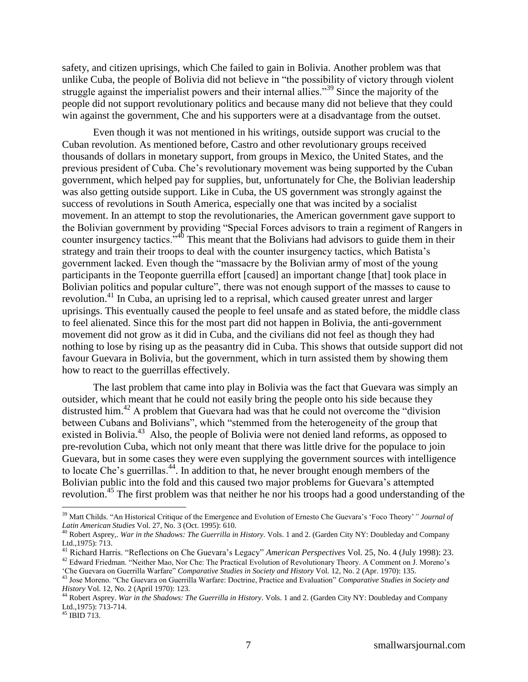safety, and citizen uprisings, which Che failed to gain in Bolivia. Another problem was that unlike Cuba, the people of Bolivia did not believe in "the possibility of victory through violent struggle against the imperialist powers and their internal allies."<sup>39</sup> Since the majority of the people did not support revolutionary politics and because many did not believe that they could win against the government, Che and his supporters were at a disadvantage from the outset.

Even though it was not mentioned in his writings, outside support was crucial to the Cuban revolution. As mentioned before, Castro and other revolutionary groups received thousands of dollars in monetary support, from groups in Mexico, the United States, and the previous president of Cuba. Che"s revolutionary movement was being supported by the Cuban government, which helped pay for supplies, but, unfortunately for Che, the Bolivian leadership was also getting outside support. Like in Cuba, the US government was strongly against the success of revolutions in South America, especially one that was incited by a socialist movement. In an attempt to stop the revolutionaries, the American government gave support to the Bolivian government by providing "Special Forces advisors to train a regiment of Rangers in counter insurgency tactics."<sup>40</sup> This meant that the Bolivians had advisors to guide them in their strategy and train their troops to deal with the counter insurgency tactics, which Batista"s government lacked. Even though the "massacre by the Bolivian army of most of the young participants in the Teoponte guerrilla effort [caused] an important change [that] took place in Bolivian politics and popular culture", there was not enough support of the masses to cause to revolution.<sup>41</sup> In Cuba, an uprising led to a reprisal, which caused greater unrest and larger uprisings. This eventually caused the people to feel unsafe and as stated before, the middle class to feel alienated. Since this for the most part did not happen in Bolivia, the anti-government movement did not grow as it did in Cuba, and the civilians did not feel as though they had nothing to lose by rising up as the peasantry did in Cuba. This shows that outside support did not favour Guevara in Bolivia, but the government, which in turn assisted them by showing them how to react to the guerrillas effectively.

The last problem that came into play in Bolivia was the fact that Guevara was simply an outsider, which meant that he could not easily bring the people onto his side because they distrusted him.<sup>42</sup> A problem that Guevara had was that he could not overcome the "division between Cubans and Bolivians", which "stemmed from the heterogeneity of the group that existed in Bolivia.<sup>43</sup> Also, the people of Bolivia were not denied land reforms, as opposed to pre-revolution Cuba, which not only meant that there was little drive for the populace to join Guevara, but in some cases they were even supplying the government sources with intelligence to locate Che's guerrillas.<sup>44</sup>. In addition to that, he never brought enough members of the Bolivian public into the fold and this caused two major problems for Guevara"s attempted revolution.<sup>45</sup> The first problem was that neither he nor his troops had a good understanding of the

<sup>39</sup> Matt Childs. "An Historical Critique of the Emergence and Evolution of Ernesto Che Guevara"s "Foco Theory"*" Journal of Latin American Studies* Vol. 27, No. 3 (Oct. 1995): 610.

<sup>40</sup> Robert Asprey,. *War in the Shadows: The Guerrilla in History*. Vols. 1 and 2. (Garden City NY: Doubleday and Company Ltd.,1975): 713.

<sup>41</sup> Richard Harris. "Reflections on Che Guevara"s Legacy" *American Perspectives* Vol. 25, No. 4 (July 1998): 23.

<sup>&</sup>lt;sup>42</sup> Edward Friedman. "Neither Mao, Nor Che: The Practical Evolution of Revolutionary Theory. A Comment on J. Moreno's "Che Guevara on Guerrilla Warfare" *Comparative Studies in Society and History* Vol. 12, No. 2 (Apr. 1970): 135.

<sup>43</sup> Jose Moreno. "Che Guevara on Guerrilla Warfare: Doctrine, Practice and Evaluation" *Comparative Studies in Society and History* Vol. 12, No. 2 (April 1970): 123.

<sup>44</sup> Robert Asprey. *War in the Shadows: The Guerrilla in History*. Vols. 1 and 2. (Garden City NY: Doubleday and Company Ltd.,1975): 713-714.

<sup>45</sup> IBID 713.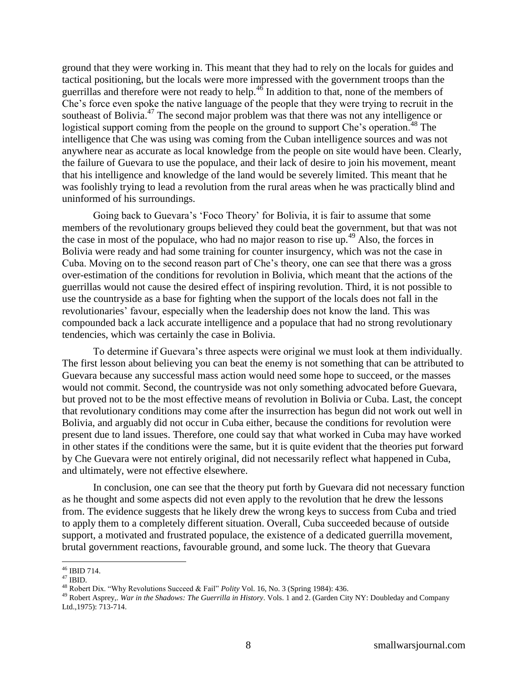ground that they were working in. This meant that they had to rely on the locals for guides and tactical positioning, but the locals were more impressed with the government troops than the guerrillas and therefore were not ready to help.<sup>46</sup> In addition to that, none of the members of Che"s force even spoke the native language of the people that they were trying to recruit in the southeast of Bolivia.<sup>47</sup> The second major problem was that there was not any intelligence or logistical support coming from the people on the ground to support Che's operation.<sup>48</sup> The intelligence that Che was using was coming from the Cuban intelligence sources and was not anywhere near as accurate as local knowledge from the people on site would have been. Clearly, the failure of Guevara to use the populace, and their lack of desire to join his movement, meant that his intelligence and knowledge of the land would be severely limited. This meant that he was foolishly trying to lead a revolution from the rural areas when he was practically blind and uninformed of his surroundings.

Going back to Guevara's 'Foco Theory' for Bolivia, it is fair to assume that some members of the revolutionary groups believed they could beat the government, but that was not the case in most of the populace, who had no major reason to rise up.<sup>49</sup> Also, the forces in Bolivia were ready and had some training for counter insurgency, which was not the case in Cuba. Moving on to the second reason part of Che"s theory, one can see that there was a gross over-estimation of the conditions for revolution in Bolivia, which meant that the actions of the guerrillas would not cause the desired effect of inspiring revolution. Third, it is not possible to use the countryside as a base for fighting when the support of the locals does not fall in the revolutionaries' favour, especially when the leadership does not know the land. This was compounded back a lack accurate intelligence and a populace that had no strong revolutionary tendencies, which was certainly the case in Bolivia.

To determine if Guevara"s three aspects were original we must look at them individually. The first lesson about believing you can beat the enemy is not something that can be attributed to Guevara because any successful mass action would need some hope to succeed, or the masses would not commit. Second, the countryside was not only something advocated before Guevara, but proved not to be the most effective means of revolution in Bolivia or Cuba. Last, the concept that revolutionary conditions may come after the insurrection has begun did not work out well in Bolivia, and arguably did not occur in Cuba either, because the conditions for revolution were present due to land issues. Therefore, one could say that what worked in Cuba may have worked in other states if the conditions were the same, but it is quite evident that the theories put forward by Che Guevara were not entirely original, did not necessarily reflect what happened in Cuba, and ultimately, were not effective elsewhere.

In conclusion, one can see that the theory put forth by Guevara did not necessary function as he thought and some aspects did not even apply to the revolution that he drew the lessons from. The evidence suggests that he likely drew the wrong keys to success from Cuba and tried to apply them to a completely different situation. Overall, Cuba succeeded because of outside support, a motivated and frustrated populace, the existence of a dedicated guerrilla movement, brutal government reactions, favourable ground, and some luck. The theory that Guevara

<sup>46</sup> IBID 714.

 $^{47}$  IBID.

<sup>48</sup> Robert Dix. "Why Revolutions Succeed & Fail" *Polity* Vol. 16, No. 3 (Spring 1984): 436.

<sup>49</sup> Robert Asprey,. *War in the Shadows: The Guerrilla in History*. Vols. 1 and 2. (Garden City NY: Doubleday and Company Ltd.,1975): 713-714.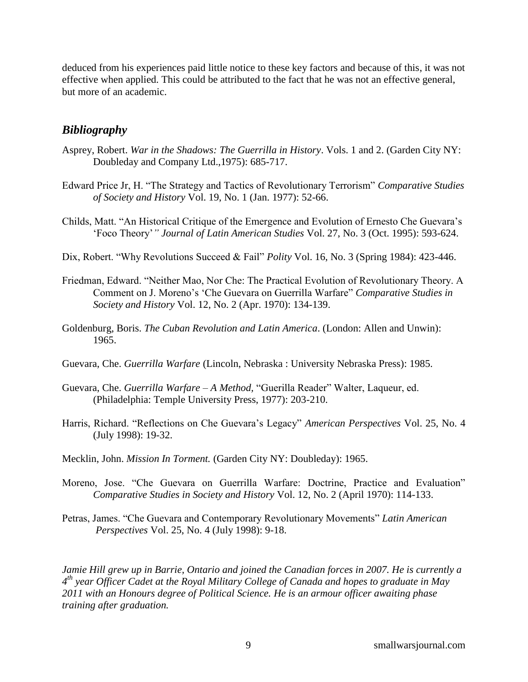deduced from his experiences paid little notice to these key factors and because of this, it was not effective when applied. This could be attributed to the fact that he was not an effective general, but more of an academic.

## *Bibliography*

- Asprey, Robert. *War in the Shadows: The Guerrilla in History*. Vols. 1 and 2. (Garden City NY: Doubleday and Company Ltd.,1975): 685-717.
- Edward Price Jr, H. "The Strategy and Tactics of Revolutionary Terrorism" *Comparative Studies of Society and History* Vol. 19, No. 1 (Jan. 1977): 52-66.
- Childs, Matt. "An Historical Critique of the Emergence and Evolution of Ernesto Che Guevara"s "Foco Theory"*" Journal of Latin American Studies* Vol. 27, No. 3 (Oct. 1995): 593-624.
- Dix, Robert. "Why Revolutions Succeed & Fail" *Polity* Vol. 16, No. 3 (Spring 1984): 423-446.
- Friedman, Edward. "Neither Mao, Nor Che: The Practical Evolution of Revolutionary Theory. A Comment on J. Moreno"s "Che Guevara on Guerrilla Warfare" *Comparative Studies in Society and History* Vol. 12, No. 2 (Apr. 1970): 134-139.
- Goldenburg, Boris. *The Cuban Revolution and Latin America*. (London: Allen and Unwin): 1965.
- Guevara, Che. *Guerrilla Warfare* (Lincoln, Nebraska : University Nebraska Press): 1985.
- Guevara, Che. *Guerrilla Warfare – A Method,* "Guerilla Reader" Walter, Laqueur, ed. (Philadelphia: Temple University Press, 1977): 203-210.
- Harris, Richard. "Reflections on Che Guevara"s Legacy" *American Perspectives* Vol. 25, No. 4 (July 1998): 19-32.
- Mecklin, John. *Mission In Torment.* (Garden City NY: Doubleday): 1965.
- Moreno, Jose. "Che Guevara on Guerrilla Warfare: Doctrine, Practice and Evaluation" *Comparative Studies in Society and History* Vol. 12, No. 2 (April 1970): 114-133.
- Petras, James. "Che Guevara and Contemporary Revolutionary Movements" *Latin American Perspectives* Vol. 25, No. 4 (July 1998): 9-18.

*Jamie Hill grew up in Barrie, Ontario and joined the Canadian forces in 2007. He is currently a 4 th year Officer Cadet at the Royal Military College of Canada and hopes to graduate in May 2011 with an Honours degree of Political Science. He is an armour officer awaiting phase training after graduation.*